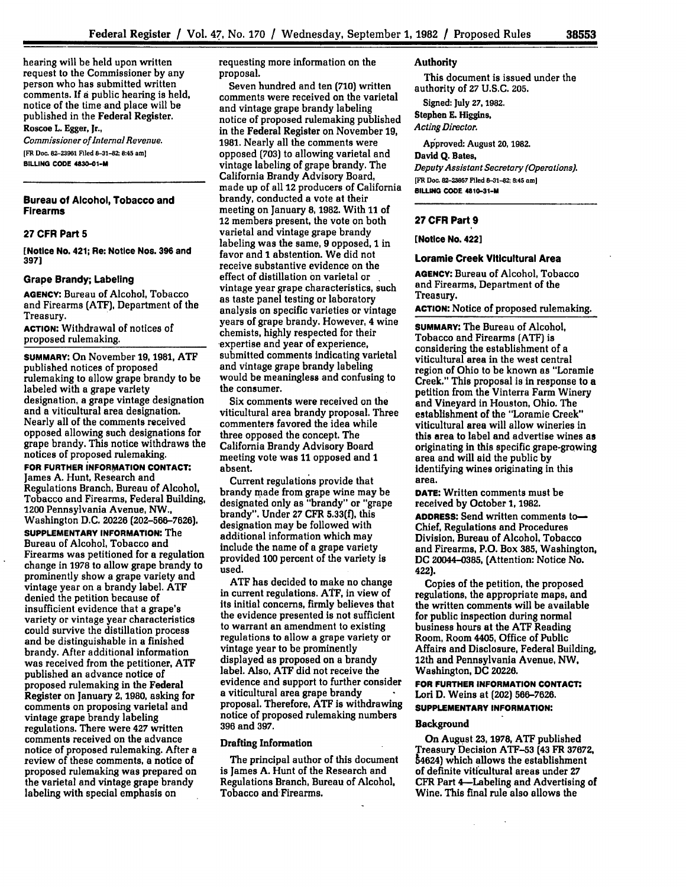hearing will be held upon written request to the Commissioner by any person who has submitted written comments. **If** a public hearing is held, notice of the time and place will be published in the Federal Register. Roscoe L. Egger, Jr.,

*Commissioner of Internol Revenue.* **[FR Doc. 82-23961 Filed 8-31-82; 8:45 am] BILLING CODE 4830-01-M**

### **Bureau of Alcohol, Tobacco and Firearms**

### **27 CFR Part 5**

**[Notice No. 421; Re: Notice Nos. 396 and 3971**

### **Grape Brandy; Labeling**

**AGENCY:** Bureau **of** Alcohol, Tobacco and Firearms **(ATF),** Department of the Treasury.

**ACTION:** Withdrawal of notices of proposed rulemaking.

**SUMMARY:** On November **19, 1981, ATF** published notices of proposed rulemaking to allow grape brandy to be labeled with a grape variety designation, a grape vintage designation and a viticultural area designation. Nearly all of the comments received opposed allowing such designations for grape brandy. This notice withdraws the notices of proposed rulemaking.

**FOR FURTHER iNFORMATION CONTACT:** James **A.** Hunt, Research and Regulations Branch, Bureau of Alcohol, Tobacco and Firearms, Federal Building, 1200 Pennsylvania Avenue, NW., Washington **D.C.** 20226 **(202-566-7626).**

**SUPPLEMENTARY INFORMATION: The** Bureau of Alcohol, Tobacco and Firearms was petitioned for a regulation change in **1978** to allow grape brandy to prominently show a grape variety and vintage year on a brandy label. **ATF** denied the petition because of insufficient evidence that a grape's variety or vintage year characteristics could survive the distillation process and be distinguishable in a finished brandy. After additional information was received from the petitioner, **ATF** published an advance notice of proposed rulemaking in the Federal Register on January **2, 1980,** asking for comments on proposing varietal and vintage grape brandy labeling regulations. There were 427 written comments received on the advance notice of proposed rulemaking. After a review of these comments, a notice of proposed rulemaking was prepared on the varietal and vintage grape brandy labeling with special emphasis on

requesting more information on the proposal.

Seven hundred and ten **(710)** written comments were received on the varietal and vintage grape brandy labeling notice of proposed rulemaking published in the Federal Register on November **19, 1981.** Nearly all the comments were opposed **(703)** to allowing varietal and vintage labeling of grape brandy. The California Brandy Advisory Board, made up of all 12 producers of California brandy, conducted a vote at their meeting on January **8,** 1982. With **11** of 12 members present, the vote on both varietal and vintage grape brandy labeling was the same, **9** opposed, **1** in favor and **1** abstention. We did not receive substantive evidence on the effect of distillation on varietal or vintage year grape characteristics, such as taste panel testing or laboratory analysis on specific varieties or vintage years of grape brandy. However, 4 wine chemists, **highly** respected for their expertise and year of experience, submitted comments indicating varietal and vintage grape brandy labeling would be meaningless and confusing to the consumer.

Six comments were received on the viticultural area brandy proposal. Three commenters favored the idea while three opposed the concept. The California Brandy Advisory Board meeting vote was 11 opposed and 1 absent.

Current regulations provide that brandy made from grape wine may be designated only as "brandy" or "grape brandy". Under **27** CFR **5.33(f),** this designation may be followed with additional information which may include the name **of** a grape variety provided 100 percent of the variety **Is** used.

**ATF** has decided to make no change in current regulations. **ATF,** in view of its initial concerns, firmly believes that the evidence presented is not sufficient to warrant an amendment to existing regulations to allow a grape variety or vintage year to be prominently displayed as proposed on a brandy label. Also, **ATF** did not receive the evidence and support to further consider a viticultural area grape brandy proposal. Therefore, **ATF** is withdrawing notice of proposed rulemaking numbers **396** and **397.**

## Drafting Information

The principal author of this document is James **A.** Hunt of the Research and Regulations Branch, Bureau of Alcohol, Tobacco and Firearms.

## Authority

This document is issued under the authority of **27 U.S.C. 205.** Signed: July **27,1982.**

Stephen **E.** Higgins, *Acting Director.*

# Approved: August **20, 1982.** David **Q.** Bates, *Deputy Assistant Secretory (Operations).*

**[FR Doc. 82-23957 Piled 8-31-82; 8:45 amj BILLING CODE 4810-31-M**

#### **27 CFR Part 9**

**[Notice No. 422]**

## **Loramie Creek Viticultural Area**

**AGENCY:** Bureau of Alcohol, Tobacco and Firearms, Department of the Treasury.

**ACTION:** Notice of proposed rulemaking.

**SUMMARY:** The Bureau of Alcohol, Tobacco and Firearms **(ATF)** is considering the establishment of a viticultural area in the west central region of Ohio to be known as "Loramie Creek." This proposal is in response to a petition from the Vinterra Farm Winery and Vineyard in Houston, Ohio. The establishment of the "Loramie Creek" viticultural area will allow wineries in this area to label and advertise wines as originating in this specific grape-growing area and will aid the public **by** Identifying wines originating in this area.

**DATE:** Written comments must be received **by** October **1, 1982.**

**ADDRESS:** Send written comments to-Chief, Regulations and Procedures Division, Bureau of Alcohol, Tobacco and Firearms, P.O. Box **385,** Washington, **DC** 20044-0385, (Attention: Notice No. 422).

Copies of the petition, the proposed regulations, the appropriate maps, and the written comments will be available for public inspection during normal business hours at the **ATF** Reading Room, Room 4405, Office of Public Affairs and Disclosure, Federal Building, 12th and Pennsylvania Avenue, NW, Washington, **DC 20226.**

**FOR FURTHER INFORMATION CONTACT:** Lori **D.** Weins at (202) **566-7626. SUPPLEMENTARY INFORMATION:**

## Background

On August **23, 1978, ATF** published Treasury Decision **ATF-53** (43 FR **37672,** 54624) which allows the establishment of definite viticultural areas under **27** CFR Part 4-Labeling and Advertising of Wine. This final rule also allows the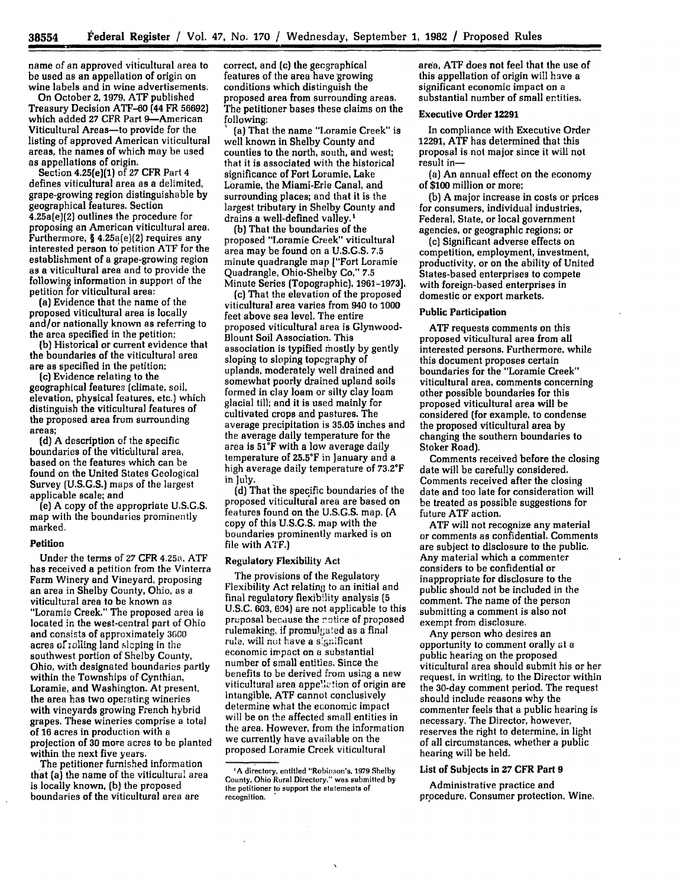name of an approved viticultural area to be used as an appellation of origin on wine labels and in wine advertisements.

On October **2, 1979, ATF** published Treasury Decision ATF-60 (44 FR 56692) which added 27 CFR Part 9-American Viticultural Areas-to provide for the listing of approved American viticultural areas, the names of which may be used as appellations of origin.

Section 4.25(e)(1) of 27 **CFR** Part 4 defines viticultural area as a delimited, grape-growing region distinguishable **by** geographical features. Section 4.25a(e)(2) outlines the procedure for proposing an American viticultural area. Furthermore, **§** 4.25a(e)(2) requires any interested person to'petition ATF for the establishment of a grape-growing region as a viticultural area and to provide the following information in support of the petition for viticultural area:

(a) Evidence that the name of the proposed viticultural area is locally and/or nationally known as referring to the area specified in the petition;

**(b)** Historical or current evidence that the boundaries of the viticultural area are as specified in the petition;

(c) Evidence relating to the geographical features [climate, soil, elevation, physical features, etc.) which distinguish the viticultural features of the proposed area from surrounding areas;

**(d) A** description **of** the specific boundaries of the viticultural area, based on the features which can be found on the United States Geological Survey (U.S.G.S.) maps of the largest applicable scale; and

(e) A copy of the appropriate U.S.G.S. map with the boundaries prominently marked.

#### Petition

Under the terms of **27** CFR 4.25a, **ATF** has received a petition from the Vinterra Farm Winery and Vineyard, proposing an area in Shelby County, Ohio, as a viticultural area to be known as "Loramie Creek." The proposed area is located in the west-central part of Ohio and consists of approximately 3600 acres of rolling land sloping in the southwest portion of Shelby County, Ohio, with designated boundaries partly within the Townships of Cynthian, Loramie, and Washington. At present, the area has two operating wineries with vineyards growing French hybrid grapes. These wineries comprise a total of **16** acres in production with a projection of 30 more acres to be planted within the next five years.

The petitioner furnished information that **(a)** the name of the viticultural area is locally known, **(b)** the proposed boundaries of the viticultural area are

correct, and (c) the geographical features of the area have growing conditions which distinguish the proposed area from surrounding areas. The petitioner bases these claims on the

(a) That the name "Loramie Creek" is well known in Shelby County and counties to the north, south, and west; that it is associated with the historical significance of Fort Loramie, Lake Loramie, the Miami-Erie Canal, and surrounding places; and that it is the largest tributary in Shelby County and drains a well-defined valley.'

(b) That the boundaries of the proposed "Loramie Creek" viticultural area may be found on a U.S.G.S. **7.5** minute quadrangle map ["Fort Loramie Quadrangle, Ohio-Shelby Co," **7.5** Minute Series (Topographic), 1961-1973).

(c) That the elevation of the proposed viticultural area varies from 940 to **1000** feet above sea level. The entire proposed viticultural area is Glynwood-Blount Soil Association. This association is typified mostly by gently sloping to sloping topography of uplands, moderately well drained and somewhat poorly drained upland soils formed in clay loam or silty clay loam glacial till; and it is used mainly for cultivated crops and pastures. The average precipitation is **35.05** inches and the average daily temperature for the area is **51°F** with a low average daily temperature of 25.5°F in January and a high average daily temperature of 73.2°F in ]uly.

(d) That the specific boundaries of the proposed viticultural area are based on features found on the U.S.G.S. map. (A copy of this U.S.G.S. map with the boundaries prominently marked is on file with ATF.)

#### Regulatory Flexibility Act

The provisions of the Regulatory Flexibility Act relating to an initial and final regulatory flexibility analysis **(5 U.S.C. 603,** 694) are not applicable to this pruposal because the notice of proposed rulemaking, if promulgated as a final rule, will **not** have a s'gnificant economic impact on a substantial number of small entities. Since the benefits to be derived from using a new viticultural area appellation of origin are intangible, **ATF** cannot conclusively determine what the economic impact will be on the affected small entities in the area. However, from the information we currently have available on the proposed Loramie Creek viticultural

area, **ATF** does not feel that the use of this appellation of origin will have a significant economic impact on a substantial number of small entities.

#### **Executive Order 12291**

In compliance with Executive Order **12291, ATF** has determined that this proposal is not major since it will not result in-

(a) An annual effect on the economy of **\$100** million or more;

**(b) A** major increase in costs or prices for consumers, individual industries, Federal, State, or local government agencies, or geographic regions; or

(c) Significant adverse effects on competition, employment, investment, productivity, or on the ability of United States-based enterprises to compete with foreign-based enterprises in domestic or export markets.

#### Public Participation

**ATF** requests comments on this proposed viticultural area from all interested persons. Furthermore, while this document proposes certain boundaries for the "Loramie Creek" viticultural area, comments concerning other possible boundaries for this proposed viticultural area will be considered (for example, to condense the proposed viticultural area **by** changing the southern boundaries to Stoker Road).

Comments received before the closing date will be carefully considered. Comments received after the closing date and too late for consideration will be treated as possible suggestions for future ATF action.

ATF will not recognize any material or comments as confidential. Comments are subject to disclosure to the public. Any material which a commenter considers to be confidential or inappropriate for disclosure to the public should not be included in the comment. The name of the person submitting a comment is also not exempt from disclosure.

Any person who desires an opportunity to comment orally at a public hearing on the proposed viticultural area should submit his or her request, in writing, to the Director within the 30-day comment period. The request should include reasons why the commenter feels that a public hearing is necessary. The Director, however, reserves the right to determine, in light of all circumstances, whether a public hearing will be held.

## List of Subjects in **27 CFR** Part **9**

Administrative practice and procedure. Consumer protection, Wine.

**<sup>1</sup>A** directory, entitled "Robinion's, **1979 Shelby County, Ohio Rural Directory,"** was **submitted by the petitioner to support the statements of recognition. \***